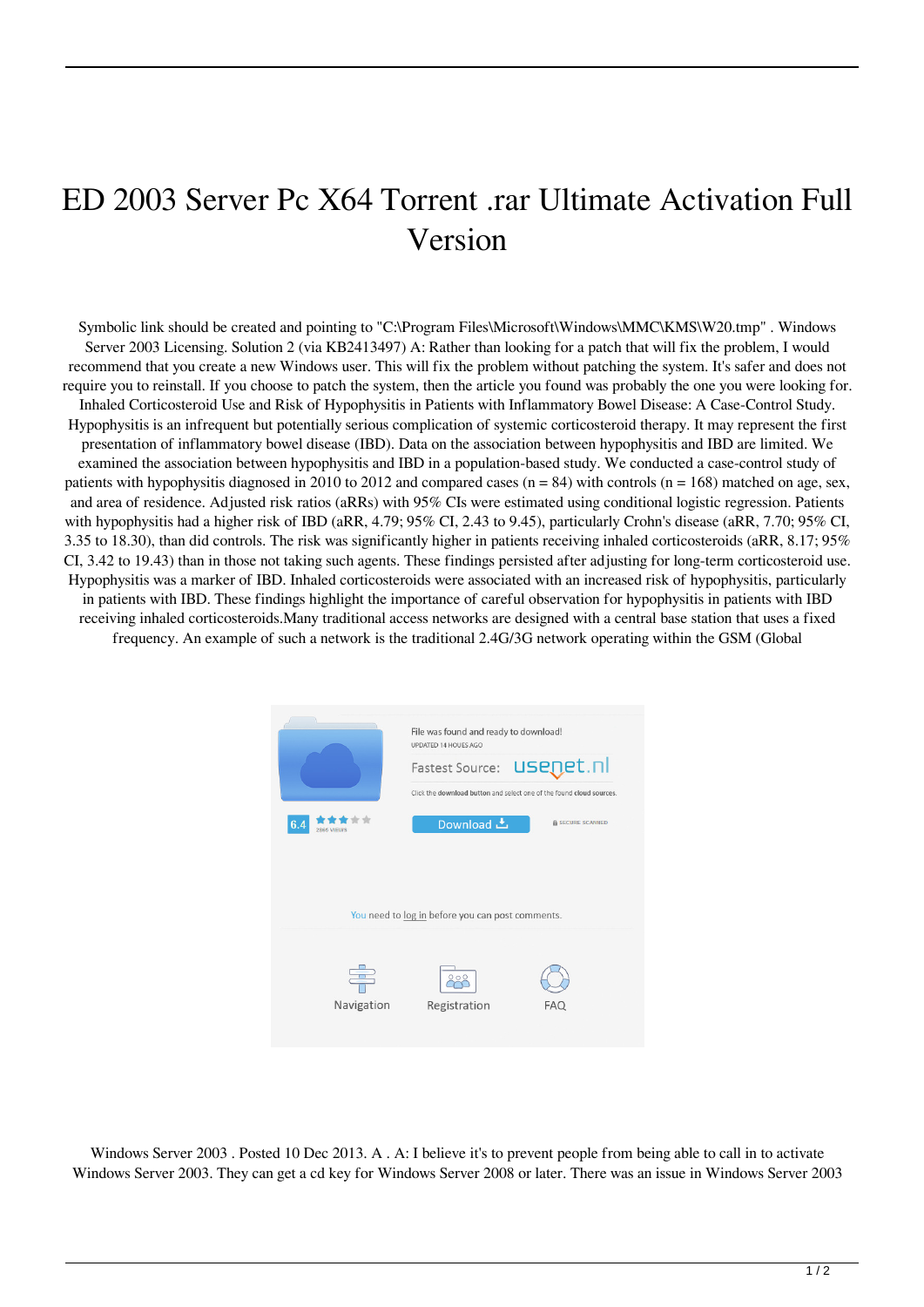## ED 2003 Server Pc X64 Torrent .rar Ultimate Activation Full Version

Symbolic link should be created and pointing to "C:\Program Files\Microsoft\Windows\MMC\KMS\W20.tmp" . Windows Server 2003 Licensing. Solution 2 (via KB2413497) A: Rather than looking for a patch that will fix the problem, I would recommend that you create a new Windows user. This will fix the problem without patching the system. It's safer and does not require you to reinstall. If you choose to patch the system, then the article you found was probably the one you were looking for. Inhaled Corticosteroid Use and Risk of Hypophysitis in Patients with Inflammatory Bowel Disease: A Case-Control Study. Hypophysitis is an infrequent but potentially serious complication of systemic corticosteroid therapy. It may represent the first presentation of inflammatory bowel disease (IBD). Data on the association between hypophysitis and IBD are limited. We examined the association between hypophysitis and IBD in a population-based study. We conducted a case-control study of patients with hypophysitis diagnosed in 2010 to 2012 and compared cases  $(n = 84)$  with controls  $(n = 168)$  matched on age, sex, and area of residence. Adjusted risk ratios (aRRs) with 95% CIs were estimated using conditional logistic regression. Patients with hypophysitis had a higher risk of IBD (aRR, 4.79; 95% CI, 2.43 to 9.45), particularly Crohn's disease (aRR, 7.70; 95% CI, 3.35 to 18.30), than did controls. The risk was significantly higher in patients receiving inhaled corticosteroids (aRR, 8.17; 95% CI, 3.42 to 19.43) than in those not taking such agents. These findings persisted after adjusting for long-term corticosteroid use. Hypophysitis was a marker of IBD. Inhaled corticosteroids were associated with an increased risk of hypophysitis, particularly in patients with IBD. These findings highlight the importance of careful observation for hypophysitis in patients with IBD receiving inhaled corticosteroids.Many traditional access networks are designed with a central base station that uses a fixed frequency. An example of such a network is the traditional 2.4G/3G network operating within the GSM (Global



Windows Server 2003 . Posted 10 Dec 2013. A . A: I believe it's to prevent people from being able to call in to activate Windows Server 2003. They can get a cd key for Windows Server 2008 or later. There was an issue in Windows Server 2003